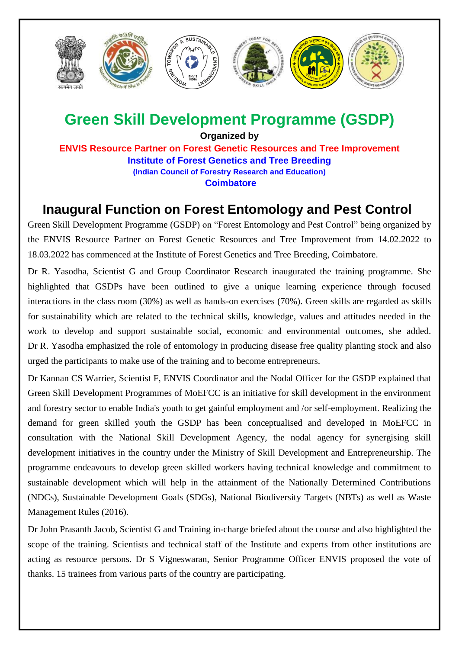

## **Green Skill Development Programme (GSDP)**

**Organized by ENVIS Resource Partner on Forest Genetic Resources and Tree Improvement Institute of Forest Genetics and Tree Breeding (Indian Council of Forestry Research and Education) Coimbatore**

## **Inaugural Function on Forest Entomology and Pest Control**

Green Skill Development Programme (GSDP) on "Forest Entomology and Pest Control" being organized by the ENVIS Resource Partner on Forest Genetic Resources and Tree Improvement from 14.02.2022 to 18.03.2022 has commenced at the Institute of Forest Genetics and Tree Breeding, Coimbatore.

Dr R. Yasodha, Scientist G and Group Coordinator Research inaugurated the training programme. She highlighted that GSDPs have been outlined to give a unique learning experience through focused interactions in the class room (30%) as well as hands-on exercises (70%). Green skills are regarded as skills for sustainability which are related to the technical skills, knowledge, values and attitudes needed in the work to develop and support sustainable social, economic and environmental outcomes, she added. Dr R. Yasodha emphasized the role of entomology in producing disease free quality planting stock and also urged the participants to make use of the training and to become entrepreneurs.

Dr Kannan CS Warrier, Scientist F, ENVIS Coordinator and the Nodal Officer for the GSDP explained that Green Skill Development Programmes of MoEFCC is an initiative for skill development in the environment and forestry sector to enable India's youth to get gainful employment and /or self-employment. Realizing the demand for green skilled youth the GSDP has been conceptualised and developed in MoEFCC in consultation with the National Skill Development Agency, the nodal agency for synergising skill development initiatives in the country under the Ministry of Skill Development and Entrepreneurship. The programme endeavours to develop green skilled workers having technical knowledge and commitment to sustainable development which will help in the attainment of the Nationally Determined Contributions (NDCs), Sustainable Development Goals (SDGs), National Biodiversity Targets (NBTs) as well as Waste Management Rules (2016).

Dr John Prasanth Jacob, Scientist G and Training in-charge briefed about the course and also highlighted the scope of the training. Scientists and technical staff of the Institute and experts from other institutions are acting as resource persons. Dr S Vigneswaran, Senior Programme Officer ENVIS proposed the vote of thanks. 15 trainees from various parts of the country are participating.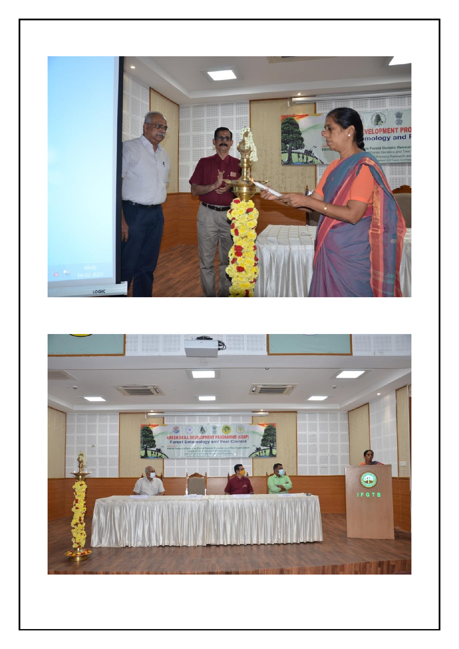

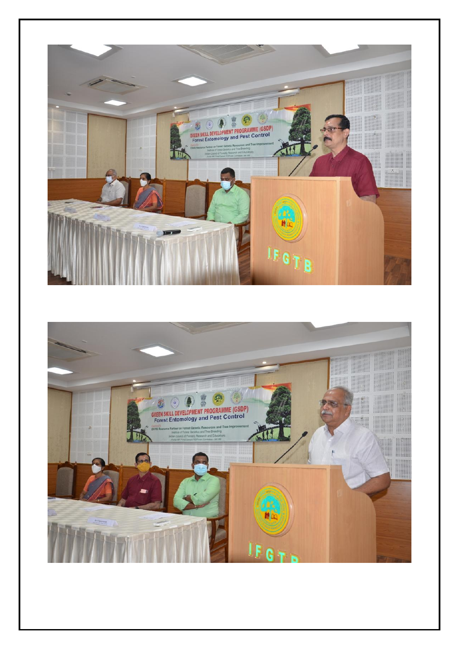